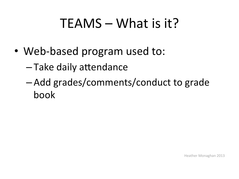## $TEAMS - What$  is it?

- Web-based program used to:
	- Take daily attendance
	- $-$  Add grades/comments/conduct to grade book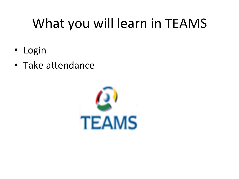# What you will learn in TEAMS

- Login  $\bullet$
- Take attendance

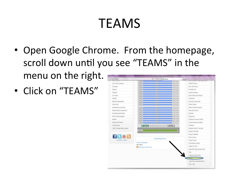## TEAMS

- Open Google Chrome. From the homepage, scroll down until you see "TEAMS" in the menu on the right. **Ministrat** p - Ed X B Home
- Click on "TEAMS"

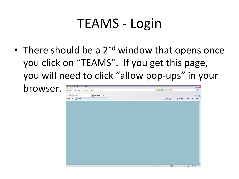### TEAMS - Login

• There should be a  $2^{nd}$  window that opens once you click on "TEAMS". If you get this page, you will need to click "allow pop-ups" in your

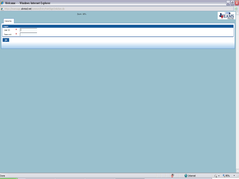|                                    | Nelcome - - Windows Internet Explorer                          | $\mathbb{E}[\mathbb{E}]$ |   |
|------------------------------------|----------------------------------------------------------------|--------------------------|---|
|                                    | https://teamsapp.alvinisd.net/common/EntryPointSignOnAction.do |                          | ⊠ |
|                                    | Zoom: 95%                                                      |                          |   |
|                                    | Welcome                                                        |                          |   |
| Login                              |                                                                |                          |   |
| User ID:                           | ж                                                              |                          |   |
|                                    | ж<br>Password:                                                 |                          |   |
| $\underline{\mathbf{Q}}\mathbf{k}$ |                                                                |                          |   |
|                                    |                                                                |                          |   |

Done

 $\boxed{\circledast}$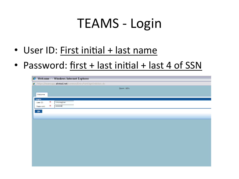### TEAMS - Login

- User ID: First initial + last name
- Password: first + last initial + last 4 of SSN

| Welcome - - Windows Internet Explorer                          |   |           |  |  |  |           |  |  |  |
|----------------------------------------------------------------|---|-----------|--|--|--|-----------|--|--|--|
| https://teamsapp.alvinisd.net/common/EntryPointSignOnAction.do |   |           |  |  |  |           |  |  |  |
|                                                                |   |           |  |  |  | Zoom: 95% |  |  |  |
|                                                                |   |           |  |  |  |           |  |  |  |
| Welcome                                                        |   |           |  |  |  |           |  |  |  |
| Login                                                          |   |           |  |  |  |           |  |  |  |
| User ID:                                                       | ж | hmonaghan |  |  |  |           |  |  |  |
| Password:                                                      | ж |           |  |  |  |           |  |  |  |
| $\underline{\mathbf{O}}\mathbf{k}$                             |   |           |  |  |  |           |  |  |  |
|                                                                |   |           |  |  |  |           |  |  |  |
|                                                                |   |           |  |  |  |           |  |  |  |
|                                                                |   |           |  |  |  |           |  |  |  |
|                                                                |   |           |  |  |  |           |  |  |  |
|                                                                |   |           |  |  |  |           |  |  |  |
|                                                                |   |           |  |  |  |           |  |  |  |
|                                                                |   |           |  |  |  |           |  |  |  |
|                                                                |   |           |  |  |  |           |  |  |  |
|                                                                |   |           |  |  |  |           |  |  |  |
|                                                                |   |           |  |  |  |           |  |  |  |
|                                                                |   |           |  |  |  |           |  |  |  |
|                                                                |   |           |  |  |  |           |  |  |  |
|                                                                |   |           |  |  |  |           |  |  |  |
|                                                                |   |           |  |  |  |           |  |  |  |
|                                                                |   |           |  |  |  |           |  |  |  |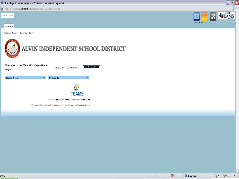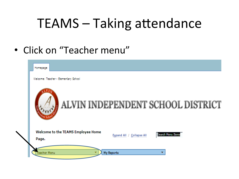• Click on "Teacher menu"

| Homepage                                                         |                                   |
|------------------------------------------------------------------|-----------------------------------|
| Welcome: Teacher - Elementary School                             |                                   |
|                                                                  | ALVIN INDEPENDENT SCHOOL DISTRICT |
| Welcome to the TEAMS Employee Home<br><b>Expand All</b><br>Page. | Search Menu Item<br>Collapse All  |
| My Reports<br>eacher Menu                                        |                                   |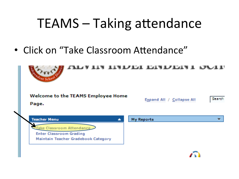• Click on "Take Classroom Attendance"

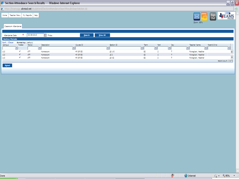### $\Box$ e $\overline{\mathsf{X}}$ Section Attendance Search Results - - Windows Internet Explorer https://teamsapp.**alvinisd.net**/studattend/SectionAttendanceSearchResultsSearchAction.do TEAMS Sign<br>Out Home | Teacher Menu | My Reports | Help Zoom: 95% Classroom Attendance 02-08-2013 View All ж **Bi** Friday Attendance Date:  $Search$

Section ID

 $LS$  1-5

 $\overline{152}$ 

**LS KG** 

 $\vert \mathbf{v} \vert$ 

Term

52

 $\mathsf{S2}$ 

 $S2$ 

 $\blacksquare$ 

Part

 $\overline{\mathbf{x}}$ 

 $\overline{2}$ 

 $\overline{2}$ 

 $\overline{2}$ 

Day

 $\mathbf{r}$ 

 $\mathbf{r}$ 

 $\mathsf T$ 

 $\sigma_{\rm d}$ 

Teacher Name

Monaghan, Heather

Monaghan, Heather

Monaghan, Heather

 $\left\vert \mathbf{v}\right\vert$ 

Parent/Child

 $\overline{\phantom{a}}$ 

**Section Periods** Sort | Clear

 $\overline{\phantom{a}}$ 

✓

V

✓

Campus

110

110

110

 $-$  Sglect $-$ 

Sorted by: (default)<br>Posted Period

ATT

AΤT

ATT

Description

Homeroom

Homeroom

Homeroom

 $\bullet$ 

Course ID

HR SP ED

HR SP ED

 ${\sf HR}$  SP  ${\sf ED}$ 

 $\overline{\mathbf{v}}$ 

B.

 $\mathbf{v}_i$ 

record count: 3 of 3

 $\frac{1}{2}$  +  $\frac{1}{2}$  95% +

 $\frac{1}{x}$ 

 $\circledcirc$ **O** Internet Done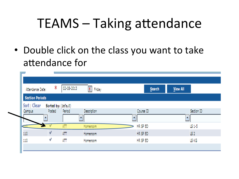• Double click on the class you want to take attendance for

| Attendance Date:       | Ж                    | 02 08 2013 | g,<br>Friday | Search    | View All   |
|------------------------|----------------------|------------|--------------|-----------|------------|
| <b>Section Periods</b> |                      |            |              |           |            |
| Sort   Clear           | Sorted by: (default) |            |              |           |            |
| Campus                 | Posted               | Period     | Description  | Course ID | Section ID |
|                        |                      |            | ٠            | ٠         | ٠          |
|                        |                      | AΠ         | Homeroom     | HR SP ED  | 151-5      |
| 110                    | v                    | AΠ         | Homeroom     | HR SP ED  | 15 2       |
| 110                    | v                    | AΠ         | Homeroom     | HR SP ED  | LS KG      |
|                        |                      |            |              |           |            |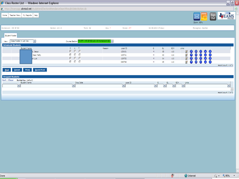| Class Roster List - - Windows Internet Explorer                                                                                                                                       |                                                                                                 |                                                            |                                                                                         |                                                                                                                                                                                                                                                                                          | $\mathbf{E}[\mathbf{x}]$<br>$\overline{a}$ |  |  |
|---------------------------------------------------------------------------------------------------------------------------------------------------------------------------------------|-------------------------------------------------------------------------------------------------|------------------------------------------------------------|-----------------------------------------------------------------------------------------|------------------------------------------------------------------------------------------------------------------------------------------------------------------------------------------------------------------------------------------------------------------------------------------|--------------------------------------------|--|--|
| ⊗<br>6] https://teamsapp. <b>alvinisd.net</b> /studattend/SectionAttendanceSearchResultsSelectAction.do                                                                               |                                                                                                 |                                                            |                                                                                         |                                                                                                                                                                                                                                                                                          |                                            |  |  |
| <b>Teacher Menu</b><br>My Reports Help<br>Home                                                                                                                                        |                                                                                                 |                                                            |                                                                                         | Sign<br>Out<br>Zoom: 95%                                                                                                                                                                                                                                                                 |                                            |  |  |
| Homeroom - HR SP ED                                                                                                                                                                   | Section: LS 1-5<br>Term: 52                                                                     | Period: ATT<br>Day: T                                      | 02-08-2013 (Friday)                                                                     | Monaghan, Heather                                                                                                                                                                                                                                                                        |                                            |  |  |
| Student Roster                                                                                                                                                                        |                                                                                                 |                                                            |                                                                                         |                                                                                                                                                                                                                                                                                          |                                            |  |  |
| Class Roster in List View<br>$\overline{\mathbf{u}}$<br>View:<br><b>Scheduled Students</b>                                                                                            | /ATT - HR SP ED/LS 1-5-Homeroom-S2 [w]<br>Course/Section                                        |                                                            |                                                                                         |                                                                                                                                                                                                                                                                                          |                                            |  |  |
| Student Name<br>o, Jesus<br>Dean Petty<br>m Luis                                                                                                                                      | P.<br>A <sub>T</sub><br>$\widehat{G}$<br>$C-C$<br>G<br>C.<br>- 0<br>G.<br>$C$ $C$<br>G<br>$C-C$ | Local ID<br>Reason<br>133431<br>105721<br>129752<br>099798 | G<br>GL.<br>SCH<br>05<br>M<br>110<br>M<br>03<br>110<br>M<br>110<br>04<br>M<br>05<br>110 | <b>Links</b><br>$\mathbb Z$<br>$\bullet$<br><b>A G</b><br>$\bullet$<br>$\left( 5\right)$<br>₫<br>Ø<br>$\bullet$<br>(G<br>$\mathbf{Z}$<br>$\bullet$<br>$\bullet$<br>G<br><b>S</b><br>$\bullet$<br>$\bullet$<br>₫<br>G<br>$\bullet$<br>$\left( \mathbf{a} \right)$<br>record count: 4 of 4 |                                            |  |  |
| Quick Print<br>$\mathsf{Prin}\underline{\mathsf{t}}$<br>Cancel<br>Post<br><b>Dropped Students</b><br>Sort   Clear<br>Sorted by: (default)<br>Student Name<br>$\overline{\phantom{a}}$ | Drop Date<br>圖                                                                                  | Local ID<br>$\overline{\phantom{a}}$                       | SCH<br>Ġ<br>GL<br>$\overline{\phantom{a}}$<br>×.<br>×.                                  | Links<br>$\mathbf{v}_i$<br>record count: 0 of 0                                                                                                                                                                                                                                          | $\overline{\phantom{a}}$<br>÷              |  |  |
|                                                                                                                                                                                       |                                                                                                 |                                                            |                                                                                         |                                                                                                                                                                                                                                                                                          |                                            |  |  |

Done

 $\left|\left\langle \mathbf{r}\right|\right|$  +  $\left|\left\langle \mathbf{r}\right|\right|$  95% +  $\left|\mathbf{r}\right|$ 

 $\circledcirc$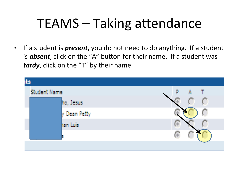If a student is *present*, you do not need to do anything. If a student  $\bullet$ is **absent**, click on the "A" button for their name. If a student was tardy, click on the "T" by their name.

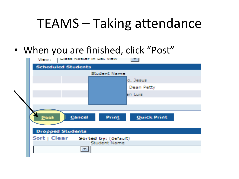• When you are finished, click "Post"

| View:   Class Roster in List View     |
|---------------------------------------|
| <b>Scheduled Students</b>             |
| Student Name                          |
| o, Jesus                              |
| Dean Petty                            |
| an Luis                               |
|                                       |
|                                       |
| Print<br>Cancel<br><b>Quick Print</b> |
| <u>Post</u>                           |
|                                       |
| <b>Dropped Students</b>               |
| Sort   Clear Sorted by: (default)     |
| Student Name                          |
|                                       |
|                                       |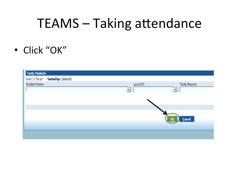• Click "OK"

| <b>Tardy Students</b> |                             |                         |                         |
|-----------------------|-----------------------------|-------------------------|-------------------------|
| Sort   Clear          | <b>Sorted by:</b> (default) |                         |                         |
| <b>Student Name</b>   |                             | Local ID                | Tardy Reason            |
|                       |                             | $\overline{\mathbf{v}}$ | $\overline{\mathbf{v}}$ |
|                       |                             |                         |                         |
|                       |                             |                         |                         |
|                       |                             |                         |                         |
|                       |                             |                         | <b>Cancel</b><br>Ok     |
|                       |                             |                         |                         |
|                       |                             |                         |                         |
|                       |                             |                         |                         |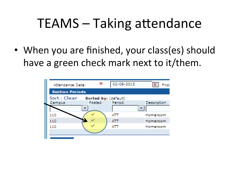• When you are finished, your class(es) should have a green check mark next to it/them.